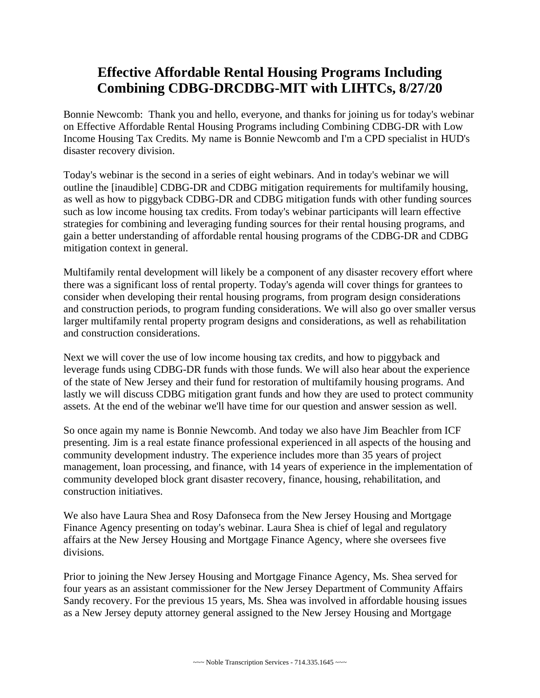## **Effective Affordable Rental Housing Programs Including Combining CDBG-DRCDBG-MIT with LIHTCs, 8/27/20**

Bonnie Newcomb: Thank you and hello, everyone, and thanks for joining us for today's webinar on Effective Affordable Rental Housing Programs including Combining CDBG-DR with Low Income Housing Tax Credits. My name is Bonnie Newcomb and I'm a CPD specialist in HUD's disaster recovery division.

Today's webinar is the second in a series of eight webinars. And in today's webinar we will outline the [inaudible] CDBG-DR and CDBG mitigation requirements for multifamily housing, as well as how to piggyback CDBG-DR and CDBG mitigation funds with other funding sources such as low income housing tax credits. From today's webinar participants will learn effective strategies for combining and leveraging funding sources for their rental housing programs, and gain a better understanding of affordable rental housing programs of the CDBG-DR and CDBG mitigation context in general.

Multifamily rental development will likely be a component of any disaster recovery effort where there was a significant loss of rental property. Today's agenda will cover things for grantees to consider when developing their rental housing programs, from program design considerations and construction periods, to program funding considerations. We will also go over smaller versus larger multifamily rental property program designs and considerations, as well as rehabilitation and construction considerations.

Next we will cover the use of low income housing tax credits, and how to piggyback and leverage funds using CDBG-DR funds with those funds. We will also hear about the experience of the state of New Jersey and their fund for restoration of multifamily housing programs. And lastly we will discuss CDBG mitigation grant funds and how they are used to protect community assets. At the end of the webinar we'll have time for our question and answer session as well.

So once again my name is Bonnie Newcomb. And today we also have Jim Beachler from ICF presenting. Jim is a real estate finance professional experienced in all aspects of the housing and community development industry. The experience includes more than 35 years of project management, loan processing, and finance, with 14 years of experience in the implementation of community developed block grant disaster recovery, finance, housing, rehabilitation, and construction initiatives.

 divisions. We also have Laura Shea and Rosy Dafonseca from the New Jersey Housing and Mortgage Finance Agency presenting on today's webinar. Laura Shea is chief of legal and regulatory affairs at the New Jersey Housing and Mortgage Finance Agency, where she oversees five

Prior to joining the New Jersey Housing and Mortgage Finance Agency, Ms. Shea served for four years as an assistant commissioner for the New Jersey Department of Community Affairs Sandy recovery. For the previous 15 years, Ms. Shea was involved in affordable housing issues as a New Jersey deputy attorney general assigned to the New Jersey Housing and Mortgage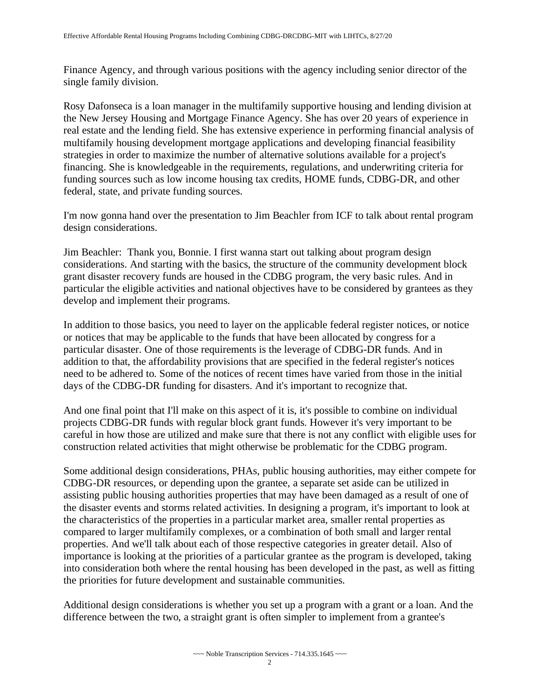Finance Agency, and through various positions with the agency including senior director of the single family division.

Rosy Dafonseca is a loan manager in the multifamily supportive housing and lending division at the New Jersey Housing and Mortgage Finance Agency. She has over 20 years of experience in real estate and the lending field. She has extensive experience in performing financial analysis of multifamily housing development mortgage applications and developing financial feasibility strategies in order to maximize the number of alternative solutions available for a project's financing. She is knowledgeable in the requirements, regulations, and underwriting criteria for funding sources such as low income housing tax credits, HOME funds, CDBG-DR, and other federal, state, and private funding sources.

I'm now gonna hand over the presentation to Jim Beachler from ICF to talk about rental program design considerations.

Jim Beachler: Thank you, Bonnie. I first wanna start out talking about program design considerations. And starting with the basics, the structure of the community development block grant disaster recovery funds are housed in the CDBG program, the very basic rules. And in particular the eligible activities and national objectives have to be considered by grantees as they develop and implement their programs.

 addition to that, the affordability provisions that are specified in the federal register's notices need to be adhered to. Some of the notices of recent times have varied from those in the initial In addition to those basics, you need to layer on the applicable federal register notices, or notice or notices that may be applicable to the funds that have been allocated by congress for a particular disaster. One of those requirements is the leverage of CDBG-DR funds. And in days of the CDBG-DR funding for disasters. And it's important to recognize that.

And one final point that I'll make on this aspect of it is, it's possible to combine on individual projects CDBG-DR funds with regular block grant funds. However it's very important to be careful in how those are utilized and make sure that there is not any conflict with eligible uses for construction related activities that might otherwise be problematic for the CDBG program.

 the disaster events and storms related activities. In designing a program, it's important to look at Some additional design considerations, PHAs, public housing authorities, may either compete for CDBG-DR resources, or depending upon the grantee, a separate set aside can be utilized in assisting public housing authorities properties that may have been damaged as a result of one of the characteristics of the properties in a particular market area, smaller rental properties as compared to larger multifamily complexes, or a combination of both small and larger rental properties. And we'll talk about each of those respective categories in greater detail. Also of importance is looking at the priorities of a particular grantee as the program is developed, taking into consideration both where the rental housing has been developed in the past, as well as fitting the priorities for future development and sustainable communities.

Additional design considerations is whether you set up a program with a grant or a loan. And the difference between the two, a straight grant is often simpler to implement from a grantee's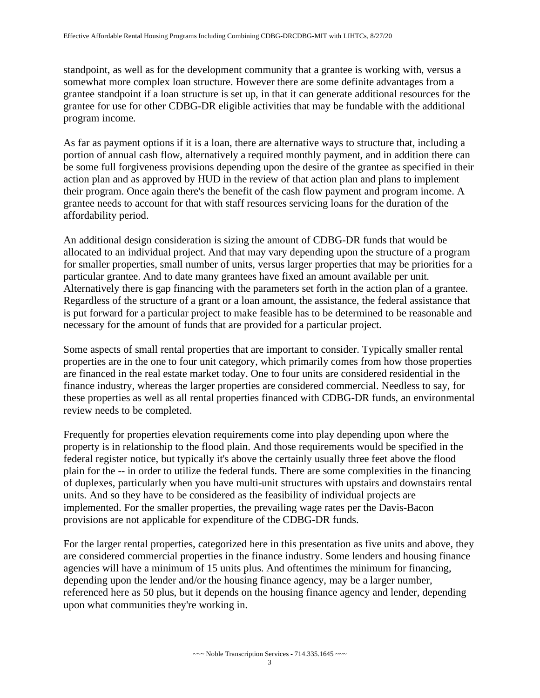standpoint, as well as for the development community that a grantee is working with, versus a somewhat more complex loan structure. However there are some definite advantages from a grantee standpoint if a loan structure is set up, in that it can generate additional resources for the grantee for use for other CDBG-DR eligible activities that may be fundable with the additional program income.

 As far as payment options if it is a loan, there are alternative ways to structure that, including a grantee needs to account for that with staff resources servicing loans for the duration of the portion of annual cash flow, alternatively a required monthly payment, and in addition there can be some full forgiveness provisions depending upon the desire of the grantee as specified in their action plan and as approved by HUD in the review of that action plan and plans to implement their program. Once again there's the benefit of the cash flow payment and program income. A affordability period.

An additional design consideration is sizing the amount of CDBG-DR funds that would be allocated to an individual project. And that may vary depending upon the structure of a program for smaller properties, small number of units, versus larger properties that may be priorities for a particular grantee. And to date many grantees have fixed an amount available per unit. Alternatively there is gap financing with the parameters set forth in the action plan of a grantee. Regardless of the structure of a grant or a loan amount, the assistance, the federal assistance that is put forward for a particular project to make feasible has to be determined to be reasonable and necessary for the amount of funds that are provided for a particular project.

Some aspects of small rental properties that are important to consider. Typically smaller rental properties are in the one to four unit category, which primarily comes from how those properties are financed in the real estate market today. One to four units are considered residential in the finance industry, whereas the larger properties are considered commercial. Needless to say, for these properties as well as all rental properties financed with CDBG-DR funds, an environmental review needs to be completed.

 plain for the -- in order to utilize the federal funds. There are some complexities in the financing Frequently for properties elevation requirements come into play depending upon where the property is in relationship to the flood plain. And those requirements would be specified in the federal register notice, but typically it's above the certainly usually three feet above the flood of duplexes, particularly when you have multi-unit structures with upstairs and downstairs rental units. And so they have to be considered as the feasibility of individual projects are implemented. For the smaller properties, the prevailing wage rates per the Davis-Bacon provisions are not applicable for expenditure of the CDBG-DR funds.

 For the larger rental properties, categorized here in this presentation as five units and above, they are considered commercial properties in the finance industry. Some lenders and housing finance agencies will have a minimum of 15 units plus. And oftentimes the minimum for financing, depending upon the lender and/or the housing finance agency, may be a larger number, referenced here as 50 plus, but it depends on the housing finance agency and lender, depending upon what communities they're working in.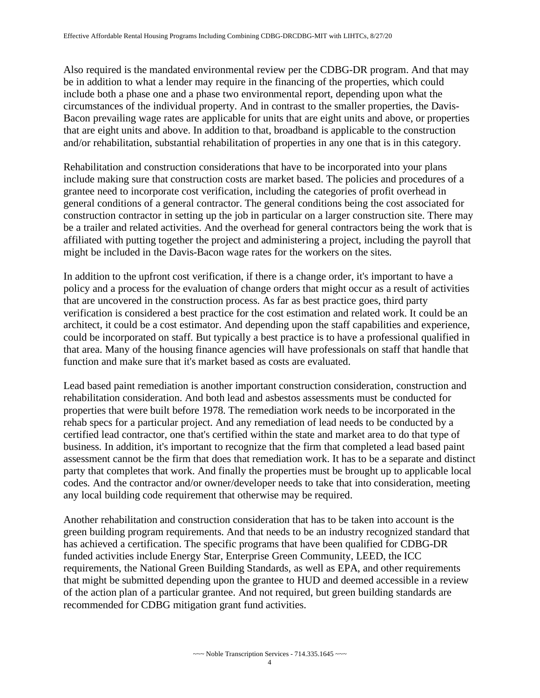Also required is the mandated environmental review per the CDBG-DR program. And that may be in addition to what a lender may require in the financing of the properties, which could include both a phase one and a phase two environmental report, depending upon what the circumstances of the individual property. And in contrast to the smaller properties, the Davis-Bacon prevailing wage rates are applicable for units that are eight units and above, or properties that are eight units and above. In addition to that, broadband is applicable to the construction and/or rehabilitation, substantial rehabilitation of properties in any one that is in this category.

 Rehabilitation and construction considerations that have to be incorporated into your plans construction contractor in setting up the job in particular on a larger construction site. There may include making sure that construction costs are market based. The policies and procedures of a grantee need to incorporate cost verification, including the categories of profit overhead in general conditions of a general contractor. The general conditions being the cost associated for be a trailer and related activities. And the overhead for general contractors being the work that is affiliated with putting together the project and administering a project, including the payroll that might be included in the Davis-Bacon wage rates for the workers on the sites.

 In addition to the upfront cost verification, if there is a change order, it's important to have a policy and a process for the evaluation of change orders that might occur as a result of activities that are uncovered in the construction process. As far as best practice goes, third party verification is considered a best practice for the cost estimation and related work. It could be an architect, it could be a cost estimator. And depending upon the staff capabilities and experience, could be incorporated on staff. But typically a best practice is to have a professional qualified in that area. Many of the housing finance agencies will have professionals on staff that handle that function and make sure that it's market based as costs are evaluated.

 any local building code requirement that otherwise may be required. Lead based paint remediation is another important construction consideration, construction and rehabilitation consideration. And both lead and asbestos assessments must be conducted for properties that were built before 1978. The remediation work needs to be incorporated in the rehab specs for a particular project. And any remediation of lead needs to be conducted by a certified lead contractor, one that's certified within the state and market area to do that type of business. In addition, it's important to recognize that the firm that completed a lead based paint assessment cannot be the firm that does that remediation work. It has to be a separate and distinct party that completes that work. And finally the properties must be brought up to applicable local codes. And the contractor and/or owner/developer needs to take that into consideration, meeting

 funded activities include Energy Star, Enterprise Green Community, LEED, the ICC Another rehabilitation and construction consideration that has to be taken into account is the green building program requirements. And that needs to be an industry recognized standard that has achieved a certification. The specific programs that have been qualified for CDBG-DR requirements, the National Green Building Standards, as well as EPA, and other requirements that might be submitted depending upon the grantee to HUD and deemed accessible in a review of the action plan of a particular grantee. And not required, but green building standards are recommended for CDBG mitigation grant fund activities.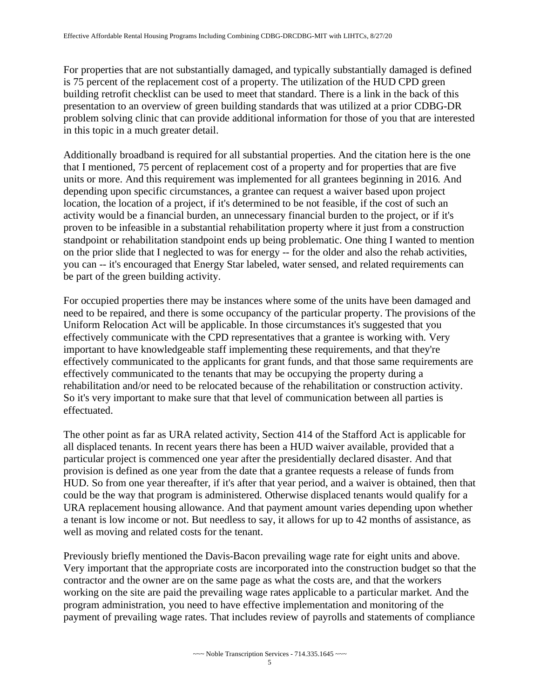For properties that are not substantially damaged, and typically substantially damaged is defined is 75 percent of the replacement cost of a property. The utilization of the HUD CPD green building retrofit checklist can be used to meet that standard. There is a link in the back of this presentation to an overview of green building standards that was utilized at a prior CDBG-DR problem solving clinic that can provide additional information for those of you that are interested in this topic in a much greater detail.

Additionally broadband is required for all substantial properties. And the citation here is the one that I mentioned, 75 percent of replacement cost of a property and for properties that are five units or more. And this requirement was implemented for all grantees beginning in 2016. And depending upon specific circumstances, a grantee can request a waiver based upon project location, the location of a project, if it's determined to be not feasible, if the cost of such an activity would be a financial burden, an unnecessary financial burden to the project, or if it's proven to be infeasible in a substantial rehabilitation property where it just from a construction standpoint or rehabilitation standpoint ends up being problematic. One thing I wanted to mention on the prior slide that I neglected to was for energy -- for the older and also the rehab activities, you can -- it's encouraged that Energy Star labeled, water sensed, and related requirements can be part of the green building activity.

For occupied properties there may be instances where some of the units have been damaged and need to be repaired, and there is some occupancy of the particular property. The provisions of the Uniform Relocation Act will be applicable. In those circumstances it's suggested that you effectively communicate with the CPD representatives that a grantee is working with. Very important to have knowledgeable staff implementing these requirements, and that they're effectively communicated to the applicants for grant funds, and that those same requirements are effectively communicated to the tenants that may be occupying the property during a rehabilitation and/or need to be relocated because of the rehabilitation or construction activity. So it's very important to make sure that that level of communication between all parties is effectuated.

 provision is defined as one year from the date that a grantee requests a release of funds from HUD. So from one year thereafter, if it's after that year period, and a waiver is obtained, then that The other point as far as URA related activity, Section 414 of the Stafford Act is applicable for all displaced tenants. In recent years there has been a HUD waiver available, provided that a particular project is commenced one year after the presidentially declared disaster. And that could be the way that program is administered. Otherwise displaced tenants would qualify for a URA replacement housing allowance. And that payment amount varies depending upon whether a tenant is low income or not. But needless to say, it allows for up to 42 months of assistance, as well as moving and related costs for the tenant.

Previously briefly mentioned the Davis-Bacon prevailing wage rate for eight units and above. Very important that the appropriate costs are incorporated into the construction budget so that the contractor and the owner are on the same page as what the costs are, and that the workers working on the site are paid the prevailing wage rates applicable to a particular market. And the program administration, you need to have effective implementation and monitoring of the payment of prevailing wage rates. That includes review of payrolls and statements of compliance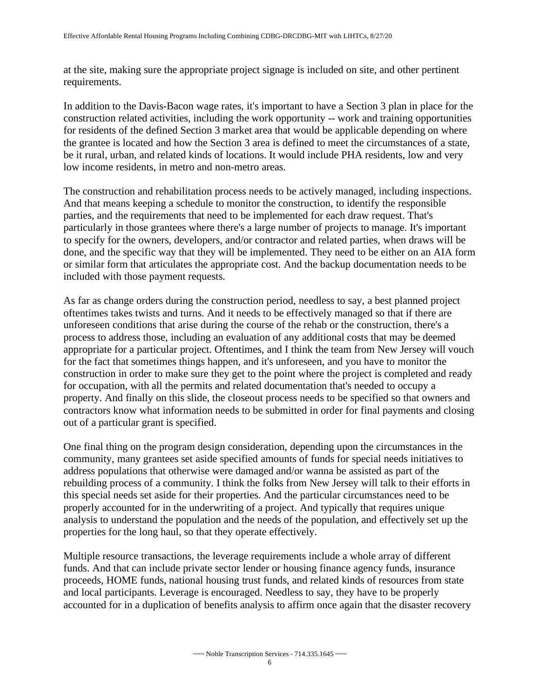at the site, making sure the appropriate project signage is included on site, and other pertinent requirements.

 be it rural, urban, and related kinds of locations. It would include PHA residents, low and very In addition to the Davis-Bacon wage rates, it's important to have a Section 3 plan in place for the construction related activities, including the work opportunity -- work and training opportunities for residents of the defined Section 3 market area that would be applicable depending on where the grantee is located and how the Section 3 area is defined to meet the circumstances of a state, low income residents, in metro and non-metro areas.

 particularly in those grantees where there's a large number of projects to manage. It's important included with those payment requests. The construction and rehabilitation process needs to be actively managed, including inspections. And that means keeping a schedule to monitor the construction, to identify the responsible parties, and the requirements that need to be implemented for each draw request. That's to specify for the owners, developers, and/or contractor and related parties, when draws will be done, and the specific way that they will be implemented. They need to be either on an AIA form or similar form that articulates the appropriate cost. And the backup documentation needs to be

 unforeseen conditions that arise during the course of the rehab or the construction, there's a for the fact that sometimes things happen, and it's unforeseen, and you have to monitor the As far as change orders during the construction period, needless to say, a best planned project oftentimes takes twists and turns. And it needs to be effectively managed so that if there are process to address those, including an evaluation of any additional costs that may be deemed appropriate for a particular project. Oftentimes, and I think the team from New Jersey will vouch construction in order to make sure they get to the point where the project is completed and ready for occupation, with all the permits and related documentation that's needed to occupy a property. And finally on this slide, the closeout process needs to be specified so that owners and contractors know what information needs to be submitted in order for final payments and closing out of a particular grant is specified.

One final thing on the program design consideration, depending upon the circumstances in the community, many grantees set aside specified amounts of funds for special needs initiatives to address populations that otherwise were damaged and/or wanna be assisted as part of the rebuilding process of a community. I think the folks from New Jersey will talk to their efforts in this special needs set aside for their properties. And the particular circumstances need to be properly accounted for in the underwriting of a project. And typically that requires unique analysis to understand the population and the needs of the population, and effectively set up the properties for the long haul, so that they operate effectively.

Multiple resource transactions, the leverage requirements include a whole array of different funds. And that can include private sector lender or housing finance agency funds, insurance proceeds, HOME funds, national housing trust funds, and related kinds of resources from state and local participants. Leverage is encouraged. Needless to say, they have to be properly accounted for in a duplication of benefits analysis to affirm once again that the disaster recovery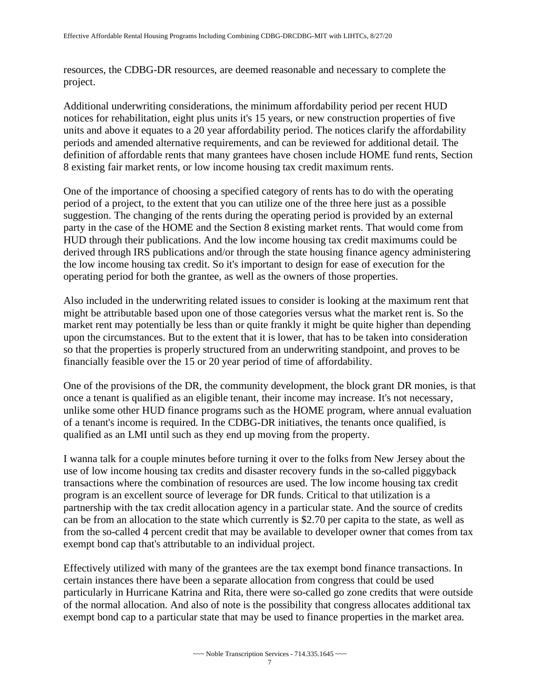resources, the CDBG-DR resources, are deemed reasonable and necessary to complete the project.

Additional underwriting considerations, the minimum affordability period per recent HUD notices for rehabilitation, eight plus units it's 15 years, or new construction properties of five units and above it equates to a 20 year affordability period. The notices clarify the affordability periods and amended alternative requirements, and can be reviewed for additional detail. The definition of affordable rents that many grantees have chosen include HOME fund rents, Section 8 existing fair market rents, or low income housing tax credit maximum rents.

One of the importance of choosing a specified category of rents has to do with the operating period of a project, to the extent that you can utilize one of the three here just as a possible suggestion. The changing of the rents during the operating period is provided by an external party in the case of the HOME and the Section 8 existing market rents. That would come from HUD through their publications. And the low income housing tax credit maximums could be derived through IRS publications and/or through the state housing finance agency administering the low income housing tax credit. So it's important to design for ease of execution for the operating period for both the grantee, as well as the owners of those properties.

 Also included in the underwriting related issues to consider is looking at the maximum rent that upon the circumstances. But to the extent that it is lower, that has to be taken into consideration might be attributable based upon one of those categories versus what the market rent is. So the market rent may potentially be less than or quite frankly it might be quite higher than depending so that the properties is properly structured from an underwriting standpoint, and proves to be financially feasible over the 15 or 20 year period of time of affordability.

One of the provisions of the DR, the community development, the block grant DR monies, is that once a tenant is qualified as an eligible tenant, their income may increase. It's not necessary, unlike some other HUD finance programs such as the HOME program, where annual evaluation of a tenant's income is required. In the CDBG-DR initiatives, the tenants once qualified, is qualified as an LMI until such as they end up moving from the property.

 program is an excellent source of leverage for DR funds. Critical to that utilization is a I wanna talk for a couple minutes before turning it over to the folks from New Jersey about the use of low income housing tax credits and disaster recovery funds in the so-called piggyback transactions where the combination of resources are used. The low income housing tax credit partnership with the tax credit allocation agency in a particular state. And the source of credits can be from an allocation to the state which currently is \$2.70 per capita to the state, as well as from the so-called 4 percent credit that may be available to developer owner that comes from tax exempt bond cap that's attributable to an individual project.

 certain instances there have been a separate allocation from congress that could be used Effectively utilized with many of the grantees are the tax exempt bond finance transactions. In particularly in Hurricane Katrina and Rita, there were so-called go zone credits that were outside of the normal allocation. And also of note is the possibility that congress allocates additional tax exempt bond cap to a particular state that may be used to finance properties in the market area.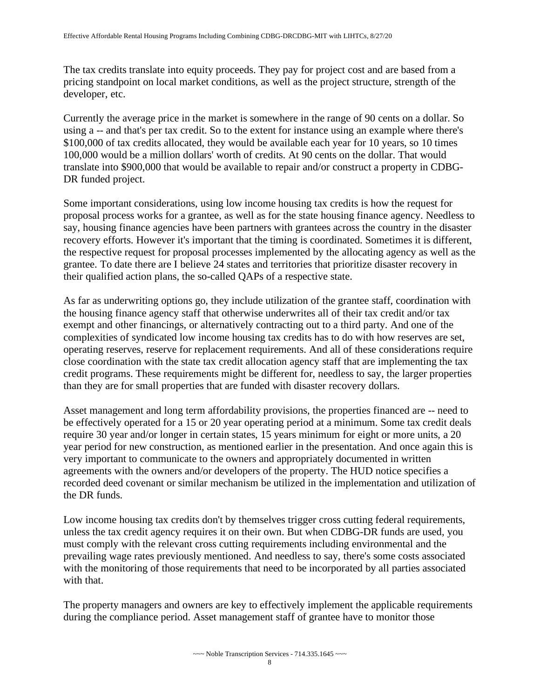The tax credits translate into equity proceeds. They pay for project cost and are based from a pricing standpoint on local market conditions, as well as the project structure, strength of the developer, etc.

Currently the average price in the market is somewhere in the range of 90 cents on a dollar. So using a -- and that's per tax credit. So to the extent for instance using an example where there's \$100,000 of tax credits allocated, they would be available each year for 10 years, so 10 times 100,000 would be a million dollars' worth of credits. At 90 cents on the dollar. That would translate into \$900,000 that would be available to repair and/or construct a property in CDBG-DR funded project.

Some important considerations, using low income housing tax credits is how the request for proposal process works for a grantee, as well as for the state housing finance agency. Needless to say, housing finance agencies have been partners with grantees across the country in the disaster recovery efforts. However it's important that the timing is coordinated. Sometimes it is different, the respective request for proposal processes implemented by the allocating agency as well as the grantee. To date there are I believe 24 states and territories that prioritize disaster recovery in their qualified action plans, the so-called QAPs of a respective state.

As far as underwriting options go, they include utilization of the grantee staff, coordination with the housing finance agency staff that otherwise underwrites all of their tax credit and/or tax exempt and other financings, or alternatively contracting out to a third party. And one of the complexities of syndicated low income housing tax credits has to do with how reserves are set, operating reserves, reserve for replacement requirements. And all of these considerations require close coordination with the state tax credit allocation agency staff that are implementing the tax credit programs. These requirements might be different for, needless to say, the larger properties than they are for small properties that are funded with disaster recovery dollars.

Asset management and long term affordability provisions, the properties financed are -- need to be effectively operated for a 15 or 20 year operating period at a minimum. Some tax credit deals require 30 year and/or longer in certain states, 15 years minimum for eight or more units, a 20 year period for new construction, as mentioned earlier in the presentation. And once again this is very important to communicate to the owners and appropriately documented in written agreements with the owners and/or developers of the property. The HUD notice specifies a recorded deed covenant or similar mechanism be utilized in the implementation and utilization of the DR funds.

Low income housing tax credits don't by themselves trigger cross cutting federal requirements, unless the tax credit agency requires it on their own. But when CDBG-DR funds are used, you must comply with the relevant cross cutting requirements including environmental and the prevailing wage rates previously mentioned. And needless to say, there's some costs associated with the monitoring of those requirements that need to be incorporated by all parties associated with that.

The property managers and owners are key to effectively implement the applicable requirements during the compliance period. Asset management staff of grantee have to monitor those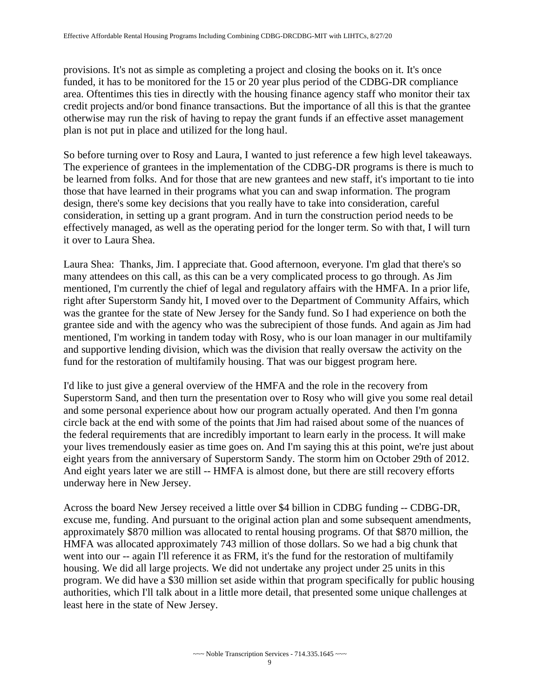provisions. It's not as simple as completing a project and closing the books on it. It's once funded, it has to be monitored for the 15 or 20 year plus period of the CDBG-DR compliance area. Oftentimes this ties in directly with the housing finance agency staff who monitor their tax credit projects and/or bond finance transactions. But the importance of all this is that the grantee otherwise may run the risk of having to repay the grant funds if an effective asset management plan is not put in place and utilized for the long haul.

 So before turning over to Rosy and Laura, I wanted to just reference a few high level takeaways. The experience of grantees in the implementation of the CDBG-DR programs is there is much to be learned from folks. And for those that are new grantees and new staff, it's important to tie into those that have learned in their programs what you can and swap information. The program design, there's some key decisions that you really have to take into consideration, careful consideration, in setting up a grant program. And in turn the construction period needs to be effectively managed, as well as the operating period for the longer term. So with that, I will turn it over to Laura Shea.

Laura Shea: Thanks, Jim. I appreciate that. Good afternoon, everyone. I'm glad that there's so many attendees on this call, as this can be a very complicated process to go through. As Jim mentioned, I'm currently the chief of legal and regulatory affairs with the HMFA. In a prior life, right after Superstorm Sandy hit, I moved over to the Department of Community Affairs, which was the grantee for the state of New Jersey for the Sandy fund. So I had experience on both the grantee side and with the agency who was the subrecipient of those funds. And again as Jim had mentioned, I'm working in tandem today with Rosy, who is our loan manager in our multifamily and supportive lending division, which was the division that really oversaw the activity on the fund for the restoration of multifamily housing. That was our biggest program here.

 eight years from the anniversary of Superstorm Sandy. The storm him on October 29th of 2012. I'd like to just give a general overview of the HMFA and the role in the recovery from Superstorm Sand, and then turn the presentation over to Rosy who will give you some real detail and some personal experience about how our program actually operated. And then I'm gonna circle back at the end with some of the points that Jim had raised about some of the nuances of the federal requirements that are incredibly important to learn early in the process. It will make your lives tremendously easier as time goes on. And I'm saying this at this point, we're just about And eight years later we are still -- HMFA is almost done, but there are still recovery efforts underway here in New Jersey.

 went into our -- again I'll reference it as FRM, it's the fund for the restoration of multifamily Across the board New Jersey received a little over \$4 billion in CDBG funding -- CDBG-DR, excuse me, funding. And pursuant to the original action plan and some subsequent amendments, approximately \$870 million was allocated to rental housing programs. Of that \$870 million, the HMFA was allocated approximately 743 million of those dollars. So we had a big chunk that housing. We did all large projects. We did not undertake any project under 25 units in this program. We did have a \$30 million set aside within that program specifically for public housing authorities, which I'll talk about in a little more detail, that presented some unique challenges at least here in the state of New Jersey.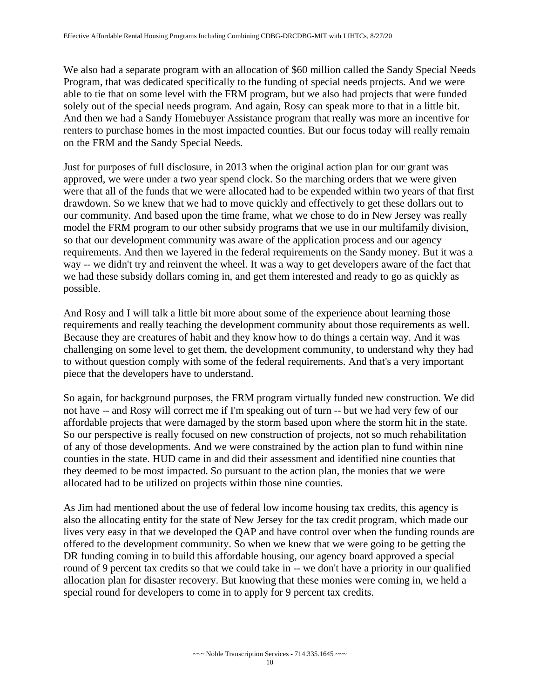We also had a separate program with an allocation of \$60 million called the Sandy Special Needs Program, that was dedicated specifically to the funding of special needs projects. And we were able to tie that on some level with the FRM program, but we also had projects that were funded solely out of the special needs program. And again, Rosy can speak more to that in a little bit. And then we had a Sandy Homebuyer Assistance program that really was more an incentive for renters to purchase homes in the most impacted counties. But our focus today will really remain on the FRM and the Sandy Special Needs.

 way -- we didn't try and reinvent the wheel. It was a way to get developers aware of the fact that possible. Just for purposes of full disclosure, in 2013 when the original action plan for our grant was approved, we were under a two year spend clock. So the marching orders that we were given were that all of the funds that we were allocated had to be expended within two years of that first drawdown. So we knew that we had to move quickly and effectively to get these dollars out to our community. And based upon the time frame, what we chose to do in New Jersey was really model the FRM program to our other subsidy programs that we use in our multifamily division, so that our development community was aware of the application process and our agency requirements. And then we layered in the federal requirements on the Sandy money. But it was a we had these subsidy dollars coming in, and get them interested and ready to go as quickly as

And Rosy and I will talk a little bit more about some of the experience about learning those requirements and really teaching the development community about those requirements as well. Because they are creatures of habit and they know how to do things a certain way. And it was challenging on some level to get them, the development community, to understand why they had to without question comply with some of the federal requirements. And that's a very important piece that the developers have to understand.

 not have -- and Rosy will correct me if I'm speaking out of turn -- but we had very few of our So again, for background purposes, the FRM program virtually funded new construction. We did affordable projects that were damaged by the storm based upon where the storm hit in the state. So our perspective is really focused on new construction of projects, not so much rehabilitation of any of those developments. And we were constrained by the action plan to fund within nine counties in the state. HUD came in and did their assessment and identified nine counties that they deemed to be most impacted. So pursuant to the action plan, the monies that we were allocated had to be utilized on projects within those nine counties.

As Jim had mentioned about the use of federal low income housing tax credits, this agency is also the allocating entity for the state of New Jersey for the tax credit program, which made our lives very easy in that we developed the QAP and have control over when the funding rounds are offered to the development community. So when we knew that we were going to be getting the DR funding coming in to build this affordable housing, our agency board approved a special round of 9 percent tax credits so that we could take in -- we don't have a priority in our qualified allocation plan for disaster recovery. But knowing that these monies were coming in, we held a special round for developers to come in to apply for 9 percent tax credits.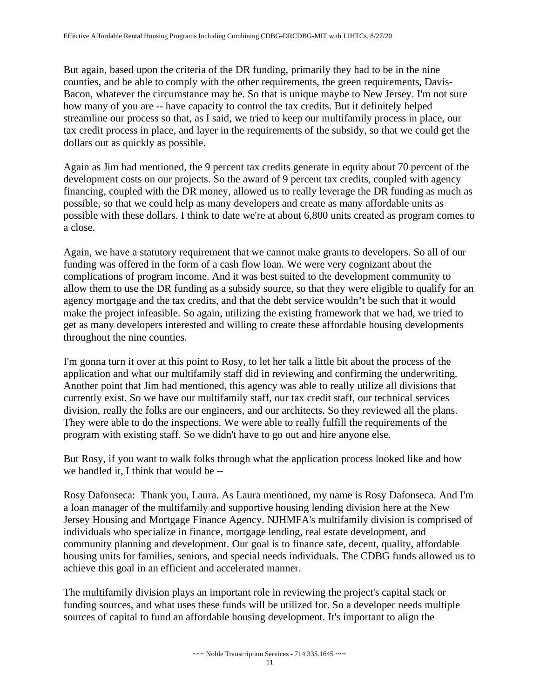counties, and be able to comply with the other requirements, the green requirements, Davis-But again, based upon the criteria of the DR funding, primarily they had to be in the nine Bacon, whatever the circumstance may be. So that is unique maybe to New Jersey. I'm not sure how many of you are -- have capacity to control the tax credits. But it definitely helped streamline our process so that, as I said, we tried to keep our multifamily process in place, our tax credit process in place, and layer in the requirements of the subsidy, so that we could get the dollars out as quickly as possible.

Again as Jim had mentioned, the 9 percent tax credits generate in equity about 70 percent of the development costs on our projects. So the award of 9 percent tax credits, coupled with agency financing, coupled with the DR money, allowed us to really leverage the DR funding as much as possible, so that we could help as many developers and create as many affordable units as possible with these dollars. I think to date we're at about 6,800 units created as program comes to a close.

 make the project infeasible. So again, utilizing the existing framework that we had, we tried to Again, we have a statutory requirement that we cannot make grants to developers. So all of our funding was offered in the form of a cash flow loan. We were very cognizant about the complications of program income. And it was best suited to the development community to allow them to use the DR funding as a subsidy source, so that they were eligible to qualify for an agency mortgage and the tax credits, and that the debt service wouldn't be such that it would get as many developers interested and willing to create these affordable housing developments throughout the nine counties.

 I'm gonna turn it over at this point to Rosy, to let her talk a little bit about the process of the application and what our multifamily staff did in reviewing and confirming the underwriting. Another point that Jim had mentioned, this agency was able to really utilize all divisions that currently exist. So we have our multifamily staff, our tax credit staff, our technical services division, really the folks are our engineers, and our architects. So they reviewed all the plans. They were able to do the inspections. We were able to really fulfill the requirements of the program with existing staff. So we didn't have to go out and hire anyone else.

But Rosy, if you want to walk folks through what the application process looked like and how we handled it, I think that would be --

Rosy Dafonseca: Thank you, Laura. As Laura mentioned, my name is Rosy Dafonseca. And I'm a loan manager of the multifamily and supportive housing lending division here at the New Jersey Housing and Mortgage Finance Agency. NJHMFA's multifamily division is comprised of individuals who specialize in finance, mortgage lending, real estate development, and community planning and development. Our goal is to finance safe, decent, quality, affordable housing units for families, seniors, and special needs individuals. The CDBG funds allowed us to achieve this goal in an efficient and accelerated manner.

The multifamily division plays an important role in reviewing the project's capital stack or funding sources, and what uses these funds will be utilized for. So a developer needs multiple sources of capital to fund an affordable housing development. It's important to align the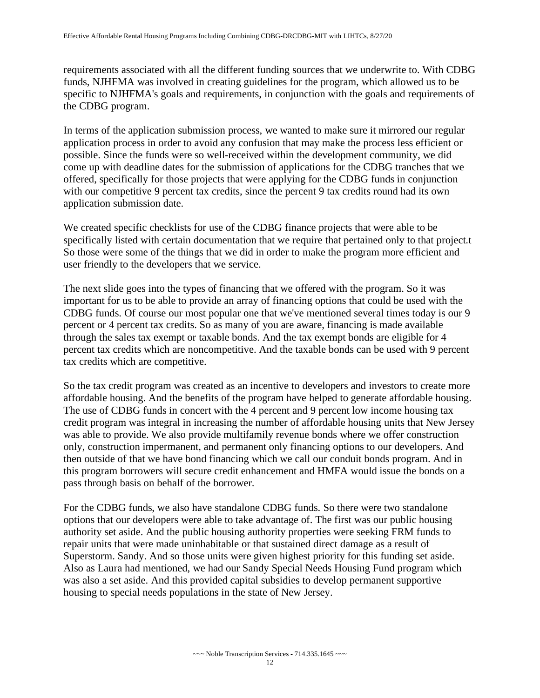requirements associated with all the different funding sources that we underwrite to. With CDBG funds, NJHFMA was involved in creating guidelines for the program, which allowed us to be specific to NJHFMA's goals and requirements, in conjunction with the goals and requirements of the CDBG program.

 In terms of the application submission process, we wanted to make sure it mirrored our regular application process in order to avoid any confusion that may make the process less efficient or possible. Since the funds were so well-received within the development community, we did come up with deadline dates for the submission of applications for the CDBG tranches that we offered, specifically for those projects that were applying for the CDBG funds in conjunction with our competitive 9 percent tax credits, since the percent 9 tax credits round had its own application submission date.

We created specific checklists for use of the CDBG finance projects that were able to be specifically listed with certain documentation that we require that pertained only to that project.t So those were some of the things that we did in order to make the program more efficient and user friendly to the developers that we service.

The next slide goes into the types of financing that we offered with the program. So it was important for us to be able to provide an array of financing options that could be used with the CDBG funds. Of course our most popular one that we've mentioned several times today is our 9 percent or 4 percent tax credits. So as many of you are aware, financing is made available through the sales tax exempt or taxable bonds. And the tax exempt bonds are eligible for 4 percent tax credits which are noncompetitive. And the taxable bonds can be used with 9 percent tax credits which are competitive.

So the tax credit program was created as an incentive to developers and investors to create more affordable housing. And the benefits of the program have helped to generate affordable housing. The use of CDBG funds in concert with the 4 percent and 9 percent low income housing tax credit program was integral in increasing the number of affordable housing units that New Jersey was able to provide. We also provide multifamily revenue bonds where we offer construction only, construction impermanent, and permanent only financing options to our developers. And then outside of that we have bond financing which we call our conduit bonds program. And in this program borrowers will secure credit enhancement and HMFA would issue the bonds on a pass through basis on behalf of the borrower.

For the CDBG funds, we also have standalone CDBG funds. So there were two standalone options that our developers were able to take advantage of. The first was our public housing authority set aside. And the public housing authority properties were seeking FRM funds to repair units that were made uninhabitable or that sustained direct damage as a result of Superstorm. Sandy. And so those units were given highest priority for this funding set aside. Also as Laura had mentioned, we had our Sandy Special Needs Housing Fund program which was also a set aside. And this provided capital subsidies to develop permanent supportive housing to special needs populations in the state of New Jersey.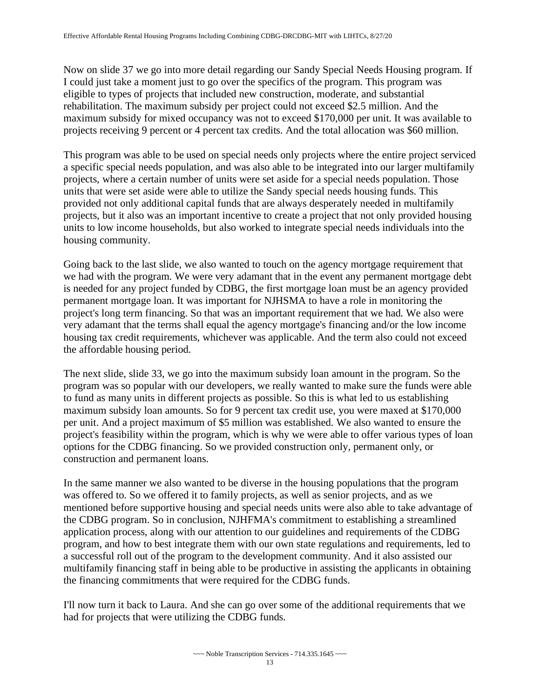Now on slide 37 we go into more detail regarding our Sandy Special Needs Housing program. If I could just take a moment just to go over the specifics of the program. This program was eligible to types of projects that included new construction, moderate, and substantial rehabilitation. The maximum subsidy per project could not exceed \$2.5 million. And the maximum subsidy for mixed occupancy was not to exceed \$170,000 per unit. It was available to projects receiving 9 percent or 4 percent tax credits. And the total allocation was \$60 million.

This program was able to be used on special needs only projects where the entire project serviced a specific special needs population, and was also able to be integrated into our larger multifamily projects, where a certain number of units were set aside for a special needs population. Those units that were set aside were able to utilize the Sandy special needs housing funds. This provided not only additional capital funds that are always desperately needed in multifamily projects, but it also was an important incentive to create a project that not only provided housing units to low income households, but also worked to integrate special needs individuals into the housing community.

Going back to the last slide, we also wanted to touch on the agency mortgage requirement that we had with the program. We were very adamant that in the event any permanent mortgage debt is needed for any project funded by CDBG, the first mortgage loan must be an agency provided permanent mortgage loan. It was important for NJHSMA to have a role in monitoring the project's long term financing. So that was an important requirement that we had. We also were very adamant that the terms shall equal the agency mortgage's financing and/or the low income housing tax credit requirements, whichever was applicable. And the term also could not exceed the affordable housing period.

The next slide, slide 33, we go into the maximum subsidy loan amount in the program. So the program was so popular with our developers, we really wanted to make sure the funds were able to fund as many units in different projects as possible. So this is what led to us establishing maximum subsidy loan amounts. So for 9 percent tax credit use, you were maxed at \$170,000 per unit. And a project maximum of \$5 million was established. We also wanted to ensure the project's feasibility within the program, which is why we were able to offer various types of loan options for the CDBG financing. So we provided construction only, permanent only, or construction and permanent loans.

 program, and how to best integrate them with our own state regulations and requirements, led to the financing commitments that were required for the CDBG funds. In the same manner we also wanted to be diverse in the housing populations that the program was offered to. So we offered it to family projects, as well as senior projects, and as we mentioned before supportive housing and special needs units were also able to take advantage of the CDBG program. So in conclusion, NJHFMA's commitment to establishing a streamlined application process, along with our attention to our guidelines and requirements of the CDBG a successful roll out of the program to the development community. And it also assisted our multifamily financing staff in being able to be productive in assisting the applicants in obtaining

I'll now turn it back to Laura. And she can go over some of the additional requirements that we had for projects that were utilizing the CDBG funds.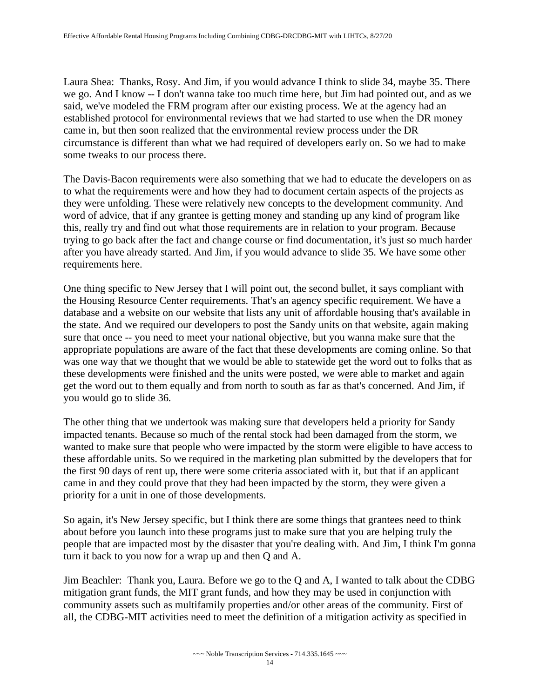Laura Shea: Thanks, Rosy. And Jim, if you would advance I think to slide 34, maybe 35. There we go. And I know -- I don't wanna take too much time here, but Jim had pointed out, and as we said, we've modeled the FRM program after our existing process. We at the agency had an established protocol for environmental reviews that we had started to use when the DR money came in, but then soon realized that the environmental review process under the DR circumstance is different than what we had required of developers early on. So we had to make some tweaks to our process there.

The Davis-Bacon requirements were also something that we had to educate the developers on as to what the requirements were and how they had to document certain aspects of the projects as they were unfolding. These were relatively new concepts to the development community. And word of advice, that if any grantee is getting money and standing up any kind of program like this, really try and find out what those requirements are in relation to your program. Because trying to go back after the fact and change course or find documentation, it's just so much harder after you have already started. And Jim, if you would advance to slide 35. We have some other requirements here.

 the Housing Resource Center requirements. That's an agency specific requirement. We have a sure that once -- you need to meet your national objective, but you wanna make sure that the One thing specific to New Jersey that I will point out, the second bullet, it says compliant with database and a website on our website that lists any unit of affordable housing that's available in the state. And we required our developers to post the Sandy units on that website, again making appropriate populations are aware of the fact that these developments are coming online. So that was one way that we thought that we would be able to statewide get the word out to folks that as these developments were finished and the units were posted, we were able to market and again get the word out to them equally and from north to south as far as that's concerned. And Jim, if you would go to slide 36.

The other thing that we undertook was making sure that developers held a priority for Sandy impacted tenants. Because so much of the rental stock had been damaged from the storm, we wanted to make sure that people who were impacted by the storm were eligible to have access to these affordable units. So we required in the marketing plan submitted by the developers that for the first 90 days of rent up, there were some criteria associated with it, but that if an applicant came in and they could prove that they had been impacted by the storm, they were given a priority for a unit in one of those developments.

So again, it's New Jersey specific, but I think there are some things that grantees need to think about before you launch into these programs just to make sure that you are helping truly the people that are impacted most by the disaster that you're dealing with. And Jim, I think I'm gonna turn it back to you now for a wrap up and then Q and A.

Jim Beachler: Thank you, Laura. Before we go to the Q and A, I wanted to talk about the CDBG mitigation grant funds, the MIT grant funds, and how they may be used in conjunction with community assets such as multifamily properties and/or other areas of the community. First of all, the CDBG-MIT activities need to meet the definition of a mitigation activity as specified in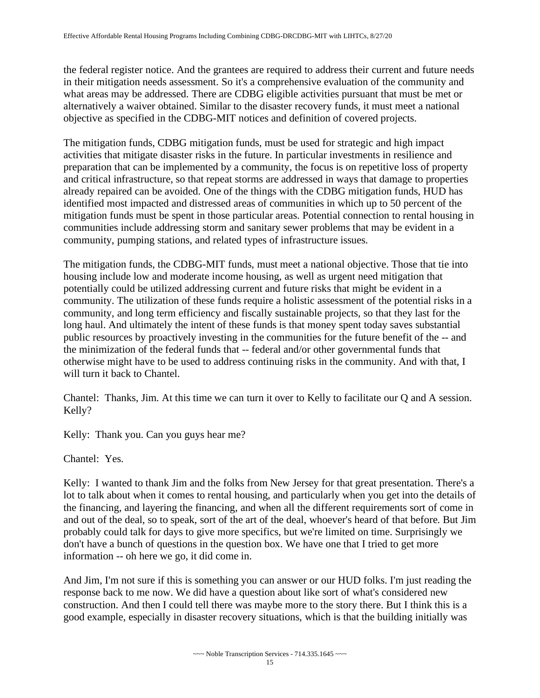the federal register notice. And the grantees are required to address their current and future needs in their mitigation needs assessment. So it's a comprehensive evaluation of the community and what areas may be addressed. There are CDBG eligible activities pursuant that must be met or alternatively a waiver obtained. Similar to the disaster recovery funds, it must meet a national objective as specified in the CDBG-MIT notices and definition of covered projects.

 already repaired can be avoided. One of the things with the CDBG mitigation funds, HUD has The mitigation funds, CDBG mitigation funds, must be used for strategic and high impact activities that mitigate disaster risks in the future. In particular investments in resilience and preparation that can be implemented by a community, the focus is on repetitive loss of property and critical infrastructure, so that repeat storms are addressed in ways that damage to properties identified most impacted and distressed areas of communities in which up to 50 percent of the mitigation funds must be spent in those particular areas. Potential connection to rental housing in communities include addressing storm and sanitary sewer problems that may be evident in a community, pumping stations, and related types of infrastructure issues.

The mitigation funds, the CDBG-MIT funds, must meet a national objective. Those that tie into housing include low and moderate income housing, as well as urgent need mitigation that potentially could be utilized addressing current and future risks that might be evident in a community. The utilization of these funds require a holistic assessment of the potential risks in a community, and long term efficiency and fiscally sustainable projects, so that they last for the long haul. And ultimately the intent of these funds is that money spent today saves substantial public resources by proactively investing in the communities for the future benefit of the -- and the minimization of the federal funds that -- federal and/or other governmental funds that otherwise might have to be used to address continuing risks in the community. And with that, I will turn it back to Chantel.

Chantel: Thanks, Jim. At this time we can turn it over to Kelly to facilitate our Q and A session. Kelly?

Kelly: Thank you. Can you guys hear me?

Chantel: Yes.

 information -- oh here we go, it did come in. Kelly: I wanted to thank Jim and the folks from New Jersey for that great presentation. There's a lot to talk about when it comes to rental housing, and particularly when you get into the details of the financing, and layering the financing, and when all the different requirements sort of come in and out of the deal, so to speak, sort of the art of the deal, whoever's heard of that before. But Jim probably could talk for days to give more specifics, but we're limited on time. Surprisingly we don't have a bunch of questions in the question box. We have one that I tried to get more

And Jim, I'm not sure if this is something you can answer or our HUD folks. I'm just reading the response back to me now. We did have a question about like sort of what's considered new construction. And then I could tell there was maybe more to the story there. But I think this is a good example, especially in disaster recovery situations, which is that the building initially was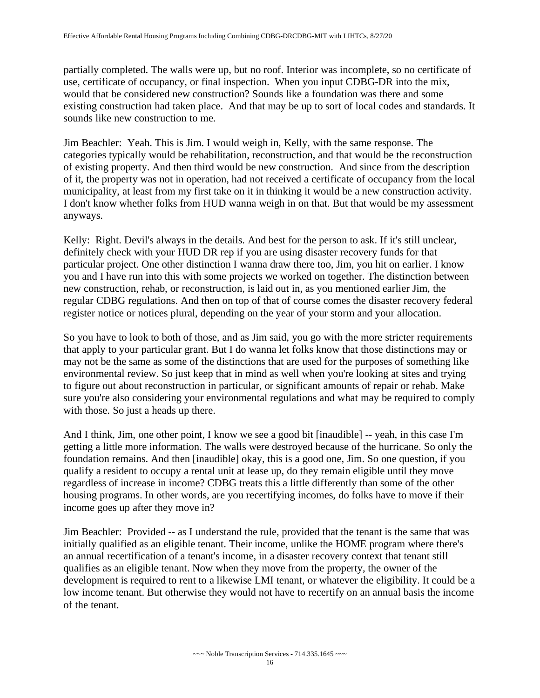use, certificate of occupancy, or final inspection. When you input CDBG-DR into the mix, partially completed. The walls were up, but no roof. Interior was incomplete, so no certificate of would that be considered new construction? Sounds like a foundation was there and some existing construction had taken place. And that may be up to sort of local codes and standards. It sounds like new construction to me.

anyways. Jim Beachler: Yeah. This is Jim. I would weigh in, Kelly, with the same response. The categories typically would be rehabilitation, reconstruction, and that would be the reconstruction of existing property. And then third would be new construction. And since from the description of it, the property was not in operation, had not received a certificate of occupancy from the local municipality, at least from my first take on it in thinking it would be a new construction activity. I don't know whether folks from HUD wanna weigh in on that. But that would be my assessment

Kelly: Right. Devil's always in the details. And best for the person to ask. If it's still unclear, definitely check with your HUD DR rep if you are using disaster recovery funds for that particular project. One other distinction I wanna draw there too, Jim, you hit on earlier. I know you and I have run into this with some projects we worked on together. The distinction between new construction, rehab, or reconstruction, is laid out in, as you mentioned earlier Jim, the regular CDBG regulations. And then on top of that of course comes the disaster recovery federal register notice or notices plural, depending on the year of your storm and your allocation.

So you have to look to both of those, and as Jim said, you go with the more stricter requirements that apply to your particular grant. But I do wanna let folks know that those distinctions may or may not be the same as some of the distinctions that are used for the purposes of something like environmental review. So just keep that in mind as well when you're looking at sites and trying to figure out about reconstruction in particular, or significant amounts of repair or rehab. Make sure you're also considering your environmental regulations and what may be required to comply with those. So just a heads up there.

 And I think, Jim, one other point, I know we see a good bit [inaudible] -- yeah, in this case I'm regardless of increase in income? CDBG treats this a little differently than some of the other getting a little more information. The walls were destroyed because of the hurricane. So only the foundation remains. And then [inaudible] okay, this is a good one, Jim. So one question, if you qualify a resident to occupy a rental unit at lease up, do they remain eligible until they move housing programs. In other words, are you recertifying incomes, do folks have to move if their income goes up after they move in?

 Jim Beachler: Provided -- as I understand the rule, provided that the tenant is the same that was initially qualified as an eligible tenant. Their income, unlike the HOME program where there's an annual recertification of a tenant's income, in a disaster recovery context that tenant still qualifies as an eligible tenant. Now when they move from the property, the owner of the development is required to rent to a likewise LMI tenant, or whatever the eligibility. It could be a low income tenant. But otherwise they would not have to recertify on an annual basis the income of the tenant.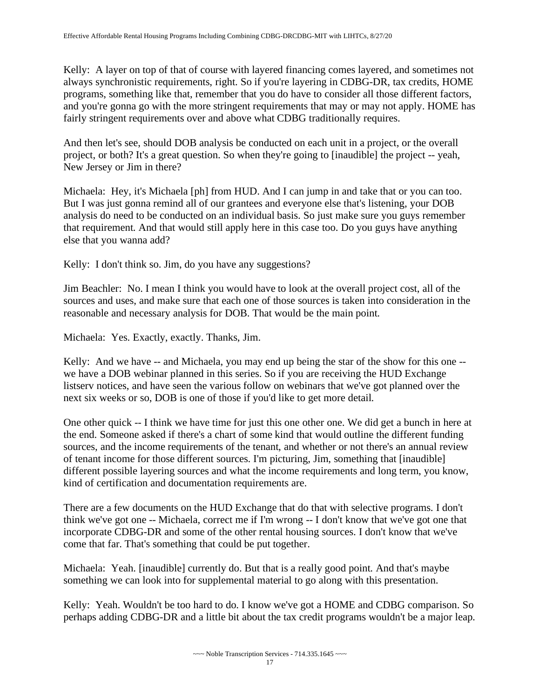programs, something like that, remember that you do have to consider all those different factors, Kelly: A layer on top of that of course with layered financing comes layered, and sometimes not always synchronistic requirements, right. So if you're layering in CDBG-DR, tax credits, HOME and you're gonna go with the more stringent requirements that may or may not apply. HOME has fairly stringent requirements over and above what CDBG traditionally requires.

And then let's see, should DOB analysis be conducted on each unit in a project, or the overall project, or both? It's a great question. So when they're going to [inaudible] the project -- yeah, New Jersey or Jim in there?

Michaela: Hey, it's Michaela [ph] from HUD. And I can jump in and take that or you can too. But I was just gonna remind all of our grantees and everyone else that's listening, your DOB analysis do need to be conducted on an individual basis. So just make sure you guys remember that requirement. And that would still apply here in this case too. Do you guys have anything else that you wanna add?

Kelly: I don't think so. Jim, do you have any suggestions?

 reasonable and necessary analysis for DOB. That would be the main point. Jim Beachler: No. I mean I think you would have to look at the overall project cost, all of the sources and uses, and make sure that each one of those sources is taken into consideration in the

Michaela: Yes. Exactly, exactly. Thanks, Jim.

 Kelly: And we have -- and Michaela, you may end up being the star of the show for this one -- we have a DOB webinar planned in this series. So if you are receiving the HUD Exchange listserv notices, and have seen the various follow on webinars that we've got planned over the next six weeks or so, DOB is one of those if you'd like to get more detail.

 One other quick -- I think we have time for just this one other one. We did get a bunch in here at the end. Someone asked if there's a chart of some kind that would outline the different funding sources, and the income requirements of the tenant, and whether or not there's an annual review of tenant income for those different sources. I'm picturing, Jim, something that [inaudible] different possible layering sources and what the income requirements and long term, you know, kind of certification and documentation requirements are.

 There are a few documents on the HUD Exchange that do that with selective programs. I don't think we've got one -- Michaela, correct me if I'm wrong -- I don't know that we've got one that incorporate CDBG-DR and some of the other rental housing sources. I don't know that we've come that far. That's something that could be put together.

Michaela: Yeah. [inaudible] currently do. But that is a really good point. And that's maybe something we can look into for supplemental material to go along with this presentation.

 Kelly: Yeah. Wouldn't be too hard to do. I know we've got a HOME and CDBG comparison. So perhaps adding CDBG-DR and a little bit about the tax credit programs wouldn't be a major leap.